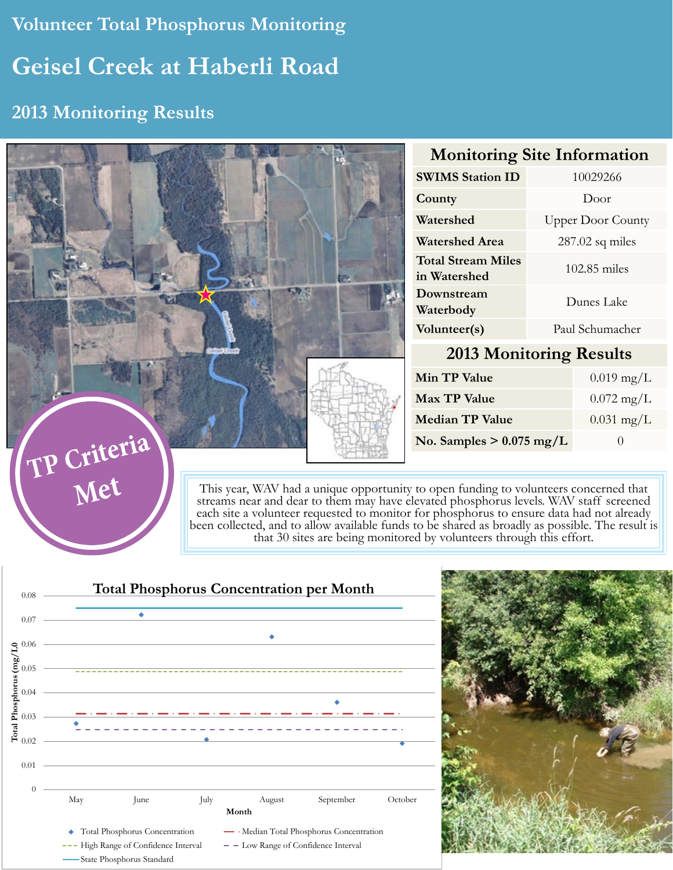# **Volunteer Total Phosphorus Monitoring Geisel Creek at Haberli Road**

## **2013 Monitoring Results**

|                                                                                                                                                                                                                                                                                       |                                           |                          | <b>Monitoring Site Information</b> |  |
|---------------------------------------------------------------------------------------------------------------------------------------------------------------------------------------------------------------------------------------------------------------------------------------|-------------------------------------------|--------------------------|------------------------------------|--|
|                                                                                                                                                                                                                                                                                       | <b>SWIMS Station ID</b>                   | 10029266                 |                                    |  |
|                                                                                                                                                                                                                                                                                       | County                                    | Door                     |                                    |  |
|                                                                                                                                                                                                                                                                                       | Watershed                                 | <b>Upper Door County</b> |                                    |  |
|                                                                                                                                                                                                                                                                                       | <b>Watershed Area</b>                     | $287.02$ sq miles        |                                    |  |
|                                                                                                                                                                                                                                                                                       | <b>Total Stream Miles</b><br>in Watershed | 102.85 miles             |                                    |  |
|                                                                                                                                                                                                                                                                                       | Downstream<br>Waterbody                   | Dunes Lake               |                                    |  |
|                                                                                                                                                                                                                                                                                       | Volunteer(s)                              | Paul Schumacher          |                                    |  |
|                                                                                                                                                                                                                                                                                       | <b>2013 Monitoring Results</b>            |                          |                                    |  |
|                                                                                                                                                                                                                                                                                       | <b>Min TP Value</b>                       |                          | $0.019$ mg/L                       |  |
|                                                                                                                                                                                                                                                                                       | <b>Max TP Value</b>                       |                          | $0.072 \text{ mg/L}$               |  |
| <b>Median TP Value</b><br>No. Samples $> 0.075$ mg/L                                                                                                                                                                                                                                  |                                           |                          | $0.031$ mg/L                       |  |
|                                                                                                                                                                                                                                                                                       |                                           |                          | $\theta$                           |  |
|                                                                                                                                                                                                                                                                                       |                                           |                          |                                    |  |
| TP Criteria<br>This year, WAV had a unique opportunity to open funding to volunteers concerned that streams near and dear to them may have elevated phosphorus levels. WAV staff screened<br>each site a volunteer requested to monitor for phosphorus to ensure data had not already |                                           |                          |                                    |  |

each site a volunteer requested to monitor for phosphorus to ensure data had not already been collected, and to allow available funds to be shared as broadly as possible. The result is that 30 sites are being monitored by volunteers through this effort.